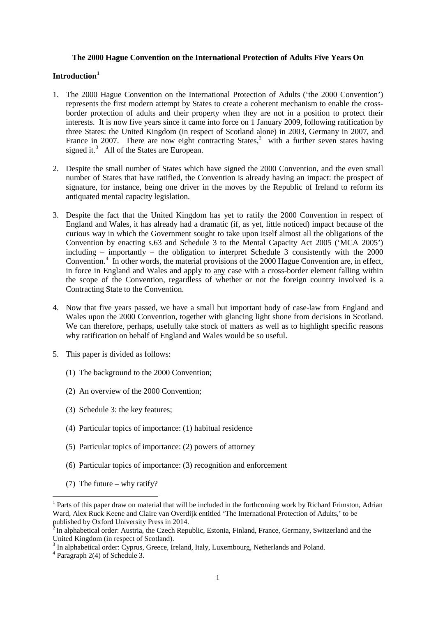## **The 2000 Hague Convention on the International Protection of Adults Five Years On**

## **Introduction[1](#page-0-0)**

- 1. The 2000 Hague Convention on the International Protection of Adults ('the 2000 Convention') represents the first modern attempt by States to create a coherent mechanism to enable the crossborder protection of adults and their property when they are not in a position to protect their interests. It is now five years since it came into force on 1 January 2009, following ratification by three States: the United Kingdom (in respect of Scotland alone) in 2003, Germany in 2007, and France in [2](#page-0-1)007. There are now eight contracting States,<sup>2</sup> with a further seven states having signed it.<sup>[3](#page-0-2)</sup> All of the States are European.
- 2. Despite the small number of States which have signed the 2000 Convention, and the even small number of States that have ratified, the Convention is already having an impact: the prospect of signature, for instance, being one driver in the moves by the Republic of Ireland to reform its antiquated mental capacity legislation.
- 3. Despite the fact that the United Kingdom has yet to ratify the 2000 Convention in respect of England and Wales, it has already had a dramatic (if, as yet, little noticed) impact because of the curious way in which the Government sought to take upon itself almost all the obligations of the Convention by enacting s.63 and Schedule 3 to the Mental Capacity Act 2005 ('MCA 2005') including – importantly – the obligation to interpret Schedule 3 consistently with the 2000 Convention.<sup>[4](#page-0-3)</sup> In other words, the material provisions of the 2000 Hague Convention are, in effect, in force in England and Wales and apply to any case with a cross-border element falling within the scope of the Convention, regardless of whether or not the foreign country involved is a Contracting State to the Convention.
- 4. Now that five years passed, we have a small but important body of case-law from England and Wales upon the 2000 Convention, together with glancing light shone from decisions in Scotland. We can therefore, perhaps, usefully take stock of matters as well as to highlight specific reasons why ratification on behalf of England and Wales would be so useful.
- 5. This paper is divided as follows:
	- (1) The background to the 2000 Convention;
	- (2) An overview of the 2000 Convention;
	- (3) Schedule 3: the key features;
	- (4) Particular topics of importance: (1) habitual residence
	- (5) Particular topics of importance: (2) powers of attorney
	- (6) Particular topics of importance: (3) recognition and enforcement
	- (7) The future why ratify?

<span id="page-0-0"></span><sup>1</sup> Parts of this paper draw on material that will be included in the forthcoming work by Richard Frimston, Adrian Ward, Alex Ruck Keene and Claire van Overdijk entitled 'The International Protection of Adults,' to be published by Oxford University Press in 2014.

<span id="page-0-1"></span> $2$ In alphabetical order: Austria, the Czech Republic, Estonia, Finland, France, Germany, Switzerland and the United Kingdom (in respect of Scotland).<br><sup>3</sup> In alphabetical order: Cyprus, Greece, Ireland, Italy, Luxembourg, Netherlands and Poland.

<span id="page-0-3"></span><span id="page-0-2"></span><sup>4</sup> Paragraph 2(4) of Schedule 3.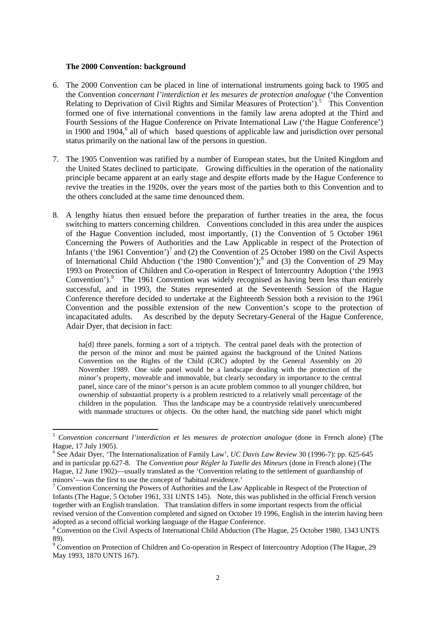#### **The 2000 Convention: background**

- 6. The 2000 Convention can be placed in line of international instruments going back to 1905 and the Convention *concernant l'interdiction et les mesures de protection analogue* ('the Convention Relating to Deprivation of Civil Rights and Similar Measures of Protection').<sup>[5](#page-1-0)</sup> This Convention formed one of five international conventions in the family law arena adopted at the Third and Fourth Sessions of the Hague Conference on Private International Law ('the Hague Conference') in 1900 and 1904,<sup>[6](#page-1-1)</sup> all of which based questions of applicable law and jurisdiction over personal status primarily on the national law of the persons in question.
- 7. The 1905 Convention was ratified by a number of European states, but the United Kingdom and the United States declined to participate. Growing difficulties in the operation of the nationality principle became apparent at an early stage and despite efforts made by the Hague Conference to revive the treaties in the 1920s, over the years most of the parties both to this Convention and to the others concluded at the same time denounced them.
- 8. A lengthy hiatus then ensued before the preparation of further treaties in the area, the focus switching to matters concerning children. Conventions concluded in this area under the auspices of the Hague Convention included, most importantly, (1) the Convention of 5 October 1961 Concerning the Powers of Authorities and the Law Applicable in respect of the Protection of Infants ('the 1961 Convention')<sup>[7](#page-1-2)</sup> and (2) the Convention of 25 October 1980 on the Civil Aspects of International Child Abduction ('the 19[8](#page-1-3)0 Convention');<sup>8</sup> and (3) the Convention of 29 May 1993 on Protection of Children and Co-operation in Respect of Intercountry Adoption ('the 1993 Convention').<sup>[9](#page-1-4)</sup> The 1961 Convention was widely recognised as having been less than entirely successful, and in 1993, the States represented at the Seventeenth Session of the Hague Conference therefore decided to undertake at the Eighteenth Session both a revision to the 1961 Convention and the possible extension of the new Convention's scope to the protection of incapacitated adults. As described by the deputy Secretary-General of the Hague Conference, Adair Dyer, that decision in fact:

ha<sup>[d]</sup> three panels, forming a sort of a triptych. The central panel deals with the protection of the person of the minor and must be painted against the background of the United Nations Convention on the Rights of the Child (CRC) adopted by the General Assembly on 20 November 1989. One side panel would be a landscape dealing with the protection of the minor's property, moveable and immovable, but clearly secondary in importance to the central panel, since care of the minor's person is an acute problem common to all younger children, but ownership of substantial property is a problem restricted to a relatively small percentage of the children in the population. Thus the landscape may be a countryside relatively unencumbered with manmade structures or objects. On the other hand, the matching side panel which might

<span id="page-1-0"></span><sup>5</sup> *Convention concernant l'interdiction et les mesures de protection analogue* (done in French alone) (The Hague, 17 July 1905).

<span id="page-1-1"></span><sup>6</sup> See Adair Dyer, 'The Internationalization of Family Law', *UC Davis Law Review* 30 (1996-7): pp. 625-645 and in particular pp.627-8. The *Convention pour Régler la Tutelle des Mineurs* (done in French alone) (The Hague, 12 June 1902)—usually translated as the 'Convention relating to the settlement of guardianship of minors'—was the first to use the concept of 'habitual residence.'<br><sup>7</sup> Convention Concerning the Powers of Authorities and the Law Applicable in Respect of the Protection of

<span id="page-1-2"></span>Infants (The Hague, 5 October 1961, 331 UNTS 145). Note, this was published in the official French version together with an English translation. That translation differs in some important respects from the official revised version of the Convention completed and signed on October 19 1996, English in the interim having been adopted as a second official working language of the Hague Conference.

<span id="page-1-3"></span><sup>8</sup> Convention on the Civil Aspects of International Child Abduction (The Hague, 25 October 1980, 1343 UNTS 89).

<span id="page-1-4"></span><sup>&</sup>lt;sup>9</sup> Convention on Protection of Children and Co-operation in Respect of Intercountry Adoption (The Hague, 29 May 1993, 1870 UNTS 167).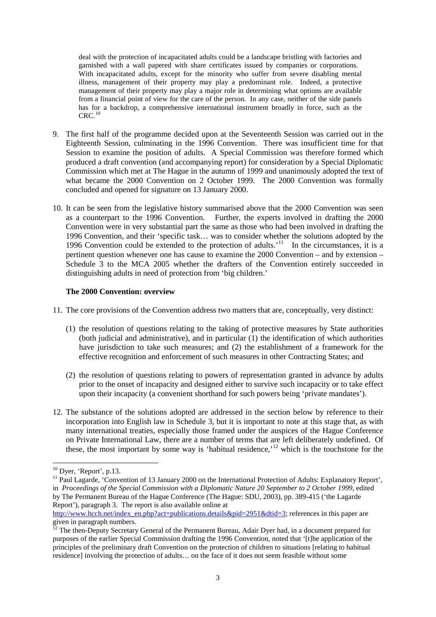deal with the protection of incapacitated adults could be a landscape bristling with factories and garnished with a wall papered with share certificates issued by companies or corporations. With incapacitated adults, except for the minority who suffer from severe disabling mental illness, management of their property may play a predominant role. Indeed, a protective management of their property may play a major role in determining what options are available from a financial point of view for the care of the person. In any case, neither of the side panels has for a backdrop, a comprehensive international instrument broadly in force, such as the  $CRC<sup>10</sup>$  $CRC<sup>10</sup>$  $CRC<sup>10</sup>$ 

- 9. The first half of the programme decided upon at the Seventeenth Session was carried out in the Eighteenth Session, culminating in the 1996 Convention. There was insufficient time for that Session to examine the position of adults. A Special Commission was therefore formed which produced a draft convention (and accompanying report) for consideration by a Special Diplomatic Commission which met at The Hague in the autumn of 1999 and unanimously adopted the text of what became the 2000 Convention on 2 October 1999. The 2000 Convention was formally concluded and opened for signature on 13 January 2000.
- 10. It can be seen from the legislative history summarised above that the 2000 Convention was seen as a counterpart to the 1996 Convention. Further, the experts involved in drafting the 2000 Convention were in very substantial part the same as those who had been involved in drafting the 1996 Convention, and their 'specific task… was to consider whether the solutions adopted by the 1996 Convention could be extended to the protection of adults.<sup> $11$ </sup> In the circumstances, it is a pertinent question whenever one has cause to examine the 2000 Convention – and by extension – Schedule 3 to the MCA 2005 whether the drafters of the Convention entirely succeeded in distinguishing adults in need of protection from 'big children.'

## **The 2000 Convention: overview**

- 11. The core provisions of the Convention address two matters that are, conceptually, very distinct:
	- (1) the resolution of questions relating to the taking of protective measures by State authorities (both judicial and administrative), and in particular (1) the identification of which authorities have jurisdiction to take such measures; and (2) the establishment of a framework for the effective recognition and enforcement of such measures in other Contracting States; and
	- (2) the resolution of questions relating to powers of representation granted in advance by adults prior to the onset of incapacity and designed either to survive such incapacity or to take effect upon their incapacity (a convenient shorthand for such powers being 'private mandates').
- 12. The substance of the solutions adopted are addressed in the section below by reference to their incorporation into English law in Schedule 3, but it is important to note at this stage that, as with many international treaties, especially those framed under the auspices of the Hague Conference on Private International Law, there are a number of terms that are left deliberately undefined. Of these, the most important by some way is 'habitual residence,'<sup>[12](#page-2-2)</sup> which is the touchstone for the

<span id="page-2-1"></span><span id="page-2-0"></span><sup>&</sup>lt;sup>10</sup> Dyer, 'Report', p.13.<br><sup>11</sup> Paul Lagarde, 'Convention of 13 January 2000 on the International Protection of Adults: Explanatory Report', in *Proceedings of the Special Commission with a Diplomatic Nature 20 September to 2 October 1999*, edited by The Permanent Bureau of the Hague Conference (The Hague: SDU, 2003), pp. 389-415 ('the Lagarde Report'), paragraph 3. The report is also available online at

[http://www.hcch.net/index\\_en.php?act=publications.details&pid=2951&dtid=3;](http://www.hcch.net/index_en.php?act=publications.details&pid=2951&dtid=3) references in this paper are given in paragraph numbers.

<span id="page-2-2"></span><sup>&</sup>lt;sup>12</sup> The then-Deputy Secretary General of the Permanent Bureau, Adair Dyer had, in a document prepared for purposes of the earlier Special Commission drafting the 1996 Convention, noted that '[t]he application of the principles of the preliminary draft Convention on the protection of children to situations [relating to habitual residence] involving the protection of adults… on the face of it does not seem feasible without some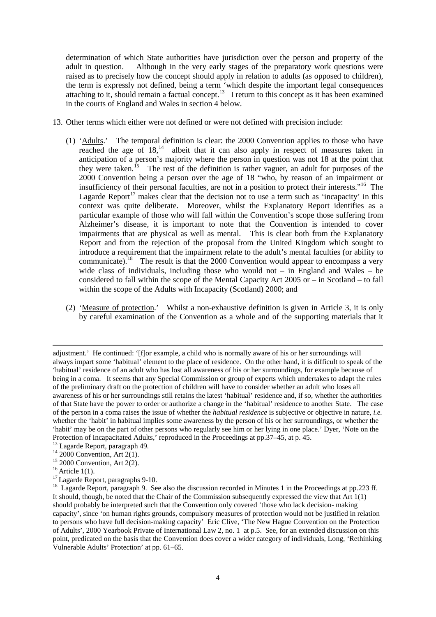determination of which State authorities have jurisdiction over the person and property of the adult in question. Although in the very early stages of the preparatory work questions were raised as to precisely how the concept should apply in relation to adults (as opposed to children), the term is expressly not defined, being a term 'which despite the important legal consequences attaching to it, should remain a factual concept.<sup>13</sup> I return to this concept as it has been examined in the courts of England and Wales in section 4 below.

- 13. Other terms which either were not defined or were not defined with precision include:
	- (1) 'Adults.' The temporal definition is clear: the 2000 Convention applies to those who have reached the age of  $18<sup>14</sup>$  albeit that it can also apply in respect of measures taken in anticipation of a person's majority where the person in question was not 18 at the point that they were taken.<sup>[15](#page-3-2)</sup> The rest of the definition is rather vaguer, an adult for purposes of the 2000 Convention being a person over the age of 18 "who, by reason of an impairment or insufficiency of their personal faculties, are not in a position to protect their interests."[16](#page-3-3) The Lagarde Report<sup>[17](#page-3-4)</sup> makes clear that the decision not to use a term such as 'incapacity' in this context was quite deliberate. Moreover, whilst the Explanatory Report identifies as a particular example of those who will fall within the Convention's scope those suffering from Alzheimer's disease, it is important to note that the Convention is intended to cover impairments that are physical as well as mental. This is clear both from the Explanatory Report and from the rejection of the proposal from the United Kingdom which sought to introduce a requirement that the impairment relate to the adult's mental faculties (or ability to communicate).<sup>[18](#page-3-5)</sup> The result is that the 2000 Convention would appear to encompass a very wide class of individuals, including those who would not – in England and Wales – be considered to fall within the scope of the Mental Capacity Act  $2005$  or  $-$  in Scotland – to fall within the scope of the Adults with Incapacity (Scotland) 2000; and
	- (2) 'Measure of protection.' Whilst a non-exhaustive definition is given in Article 3, it is only by careful examination of the Convention as a whole and of the supporting materials that it

**.** 

adjustment.' He continued: '[f]or example, a child who is normally aware of his or her surroundings will always impart some 'habitual' element to the place of residence. On the other hand, it is difficult to speak of the 'habitual' residence of an adult who has lost all awareness of his or her surroundings, for example because of being in a coma. It seems that any Special Commission or group of experts which undertakes to adapt the rules of the preliminary draft on the protection of children will have to consider whether an adult who loses all awareness of his or her surroundings still retains the latest 'habitual' residence and, if so, whether the authorities of that State have the power to order or authorize a change in the 'habitual' residence to another State. The case of the person in a coma raises the issue of whether the *habitual residence* is subjective or objective in nature, *i.e.*  whether the 'habit' in habitual implies some awareness by the person of his or her surroundings, or whether the 'habit' may be on the part of other persons who regularly see him or her lying in one place.' Dyer, 'Note on the Protection of Incapacitated Adults,' reproduced in the Proceedings at pp.37–45, at p. 45.<br><sup>13</sup> Lagarde Report, paragraph 49.<br><sup>14</sup> 2000 Convention, Art 2(1).<br><sup>15</sup> 2000 Convention, Art 2(2).<br><sup>15</sup> Article 1(1).<br><sup>17</sup> Lagarde R

<span id="page-3-1"></span><span id="page-3-0"></span>

<span id="page-3-2"></span>

<span id="page-3-3"></span>

<span id="page-3-5"></span><span id="page-3-4"></span>It should, though, be noted that the Chair of the Commission subsequently expressed the view that Art 1(1) should probably be interpreted such that the Convention only covered 'those who lack decision- making capacity', since 'on human rights grounds, compulsory measures of protection would not be justified in relation to persons who have full decision-making capacity' Eric Clive, 'The New Hague Convention on the Protection of Adults', 2000 Yearbook Private of International Law 2, no. 1 at p.5. See, for an extended discussion on this point, predicated on the basis that the Convention does cover a wider category of individuals, Long, 'Rethinking Vulnerable Adults' Protection' at pp. 61–65.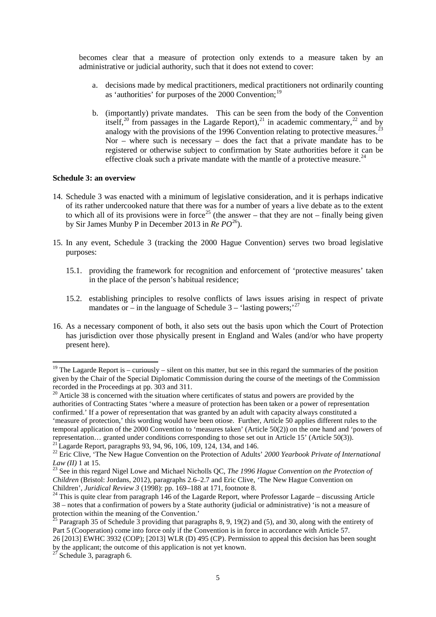becomes clear that a measure of protection only extends to a measure taken by an administrative or judicial authority, such that it does not extend to cover:

- a. decisions made by medical practitioners, medical practitioners not ordinarily counting as 'authorities' for purposes of the 2000 Convention:<sup>[19](#page-4-0)</sup>
- b. (importantly) private mandates. This can be seen from the body of the Convention itself,<sup>[20](#page-4-1)</sup> from passages in the Lagarde Report),<sup>[21](#page-4-2)</sup> in academic commentary,<sup>[22](#page-4-3)</sup> and by analogy with the provisions of the 1996 Convention relating to protective measures.<sup>[23](#page-4-4)</sup> Nor – where such is necessary – does the fact that a private mandate has to be registered or otherwise subject to confirmation by State authorities before it can be effective cloak such a private mandate with the mantle of a protective measure.<sup>[24](#page-4-5)</sup>

## **Schedule 3: an overview**

- 14. Schedule 3 was enacted with a minimum of legislative consideration, and it is perhaps indicative of its rather undercooked nature that there was for a number of years a live debate as to the extent to which all of its provisions were in force<sup>[25](#page-4-6)</sup> (the answer – that they are not – finally being given by Sir James Munby P in December 2013 in *Re PO*[26](#page-4-7)).
- 15. In any event, Schedule 3 (tracking the 2000 Hague Convention) serves two broad legislative purposes:
	- 15.1. providing the framework for recognition and enforcement of 'protective measures' taken in the place of the person's habitual residence;
	- 15.2. establishing principles to resolve conflicts of laws issues arising in respect of private mandates or – in the language of Schedule 3 – 'lasting powers;'<sup>[27](#page-4-8)</sup>
- 16. As a necessary component of both, it also sets out the basis upon which the Court of Protection has jurisdiction over those physically present in England and Wales (and/or who have property present here).

<span id="page-4-0"></span><sup>&</sup>lt;sup>19</sup> The Lagarde Report is – curiously – silent on this matter, but see in this regard the summaries of the position given by the Chair of the Special Diplomatic Commission during the course of the meetings of the Commission recorded in the Proceedings at pp. 303 and 311.<br><sup>20</sup> Article 38 is concerned with the situation where certificates of status and powers are provided by the

<span id="page-4-1"></span>authorities of Contracting States 'where a measure of protection has been taken or a power of representation confirmed.' If a power of representation that was granted by an adult with capacity always constituted a 'measure of protection,' this wording would have been otiose. Further, Article 50 applies different rules to the temporal application of the 2000 Convention to 'measures taken' (Article 50(2)) on the one hand and 'powers of representation... granted under conditions corresponding to those set out in Article 15' (Article 50(3)).

<span id="page-4-3"></span><span id="page-4-2"></span><sup>&</sup>lt;sup>21</sup> Lagarde Report, paragraphs 93, 94, 96, 106, 109, 124, 134, and 146.<br><sup>22</sup> Eric Clive, 'The New Hague Convention on the Protection of Adults' 2000 Yearbook Private of International *Law (II)* 1 at 15.<br><sup>23</sup> See in this regard Nigel Lowe and Michael Nicholls QC, *The 1996 Hague Convention on the Protection of* 

<span id="page-4-4"></span>*Children* (Bristol: Jordans, 2012), paragraphs 2.6–2.7 and Eric Clive, 'The New Hague Convention on Children', *Juridical Review 3* (1998): pp. 169–188 at 171, footnote 8.<br><sup>24</sup> This is quite clear from paragraph 146 of the Lagarde Report, where Professor Lagarde – discussing Article

<span id="page-4-5"></span><sup>38 –</sup> notes that a confirmation of powers by a State authority (judicial or administrative) 'is not a measure of protection within the meaning of the Convention.'<br><sup>25</sup> Paragraph 35 of Schedule 3 providing that paragraphs 8, 9, 19(2) and (5), and 30, along with the entirety of

<span id="page-4-6"></span>Part 5 (Cooperation) come into force only if the Convention is in force in accordance with Article 57.

<span id="page-4-7"></span><sup>26</sup> [2013] EWHC 3932 (COP); [2013] WLR (D) 495 (CP). Permission to appeal this decision has been sought by the applicant; the outcome of this application is not yet known.

<span id="page-4-8"></span> $2^{7}$  Schedule 3, paragraph 6.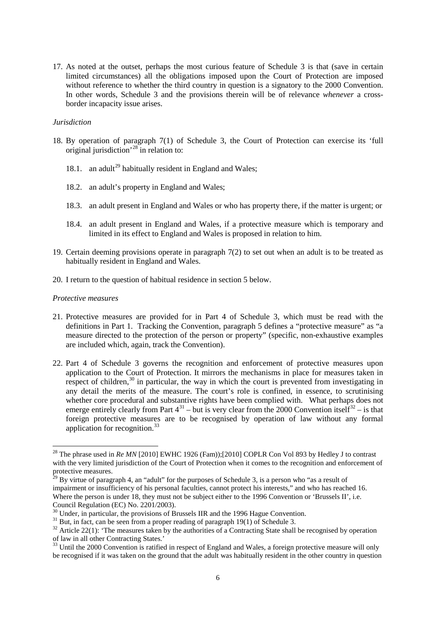17. As noted at the outset, perhaps the most curious feature of Schedule 3 is that (save in certain limited circumstances) all the obligations imposed upon the Court of Protection are imposed without reference to whether the third country in question is a signatory to the 2000 Convention. In other words, Schedule 3 and the provisions therein will be of relevance *whenever* a crossborder incapacity issue arises.

#### *Jurisdiction*

- 18. By operation of paragraph 7(1) of Schedule 3, the Court of Protection can exercise its 'full original jurisdiction' [28](#page-5-0) in relation to:
	- 18.1. an adult<sup>[29](#page-5-1)</sup> habitually resident in England and Wales;
	- 18.2. an adult's property in England and Wales;
	- 18.3. an adult present in England and Wales or who has property there, if the matter is urgent; or
	- 18.4. an adult present in England and Wales, if a protective measure which is temporary and limited in its effect to England and Wales is proposed in relation to him.
- 19. Certain deeming provisions operate in paragraph 7(2) to set out when an adult is to be treated as habitually resident in England and Wales.
- 20. I return to the question of habitual residence in section 5 below.

#### *Protective measures*

- 21. Protective measures are provided for in Part 4 of Schedule 3, which must be read with the definitions in Part 1. Tracking the Convention, paragraph 5 defines a "protective measure" as "a measure directed to the protection of the person or property" (specific, non-exhaustive examples are included which, again, track the Convention).
- 22. Part 4 of Schedule 3 governs the recognition and enforcement of protective measures upon application to the Court of Protection. It mirrors the mechanisms in place for measures taken in respect of children, $30$  in particular, the way in which the court is prevented from investigating in any detail the merits of the measure. The court's role is confined, in essence, to scrutinising whether core procedural and substantive rights have been complied with. What perhaps does not emerge entirely clearly from Part  $4^{31}$  $4^{31}$  $4^{31}$  – but is very clear from the 2000 Convention itself<sup>[32](#page-5-4)</sup> – is that foreign protective measures are to be recognised by operation of law without any formal application for recognition.<sup>33</sup>

<span id="page-5-0"></span><sup>&</sup>lt;sup>28</sup> The phrase used in *Re MN* [2010] EWHC 1926 (Fam));[2010] COPLR Con Vol 893 by Hedley J to contrast with the very limited jurisdiction of the Court of Protection when it comes to the recognition and enforcement of protective measures.

<span id="page-5-1"></span> $^{29}$  By virtue of paragraph 4, an "adult" for the purposes of Schedule 3, is a person who "as a result of impairment or insufficiency of his personal faculties, cannot protect his interests," and who has reached 16. Where the person is under 18, they must not be subject either to the 1996 Convention or 'Brussels II', i.e. Council Regulation (EC) No. 2201/2003).

<span id="page-5-4"></span><span id="page-5-3"></span>

<span id="page-5-2"></span><sup>&</sup>lt;sup>30</sup> Under, in particular, the provisions of Brussels IIR and the 1996 Hague Convention.<br><sup>31</sup> But, in fact, can be seen from a proper reading of paragraph 19(1) of Schedule 3.<br><sup>32</sup> Article 22(1): 'The measures taken by th of law in all other Contracting States.'<br><sup>33</sup> Until the 2000 Convention is ratified in respect of England and Wales, a foreign protective measure will only

<span id="page-5-5"></span>be recognised if it was taken on the ground that the adult was habitually resident in the other country in question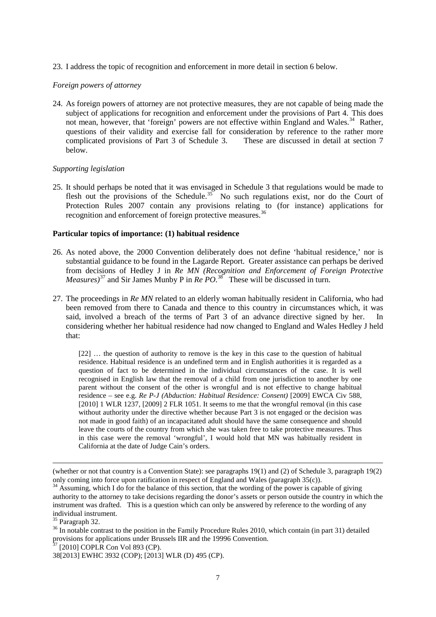23. I address the topic of recognition and enforcement in more detail in section 6 below.

# *Foreign powers of attorney*

24. As foreign powers of attorney are not protective measures, they are not capable of being made the subject of applications for recognition and enforcement under the provisions of Part 4. This does not mean, however, that 'foreign' powers are not effective within England and Wales.<sup>[34](#page-6-0)</sup> Rather, questions of their validity and exercise fall for consideration by reference to the rather more complicated provisions of Part 3 of Schedule 3. These are discussed in detail at section 7 below.

# *Supporting legislation*

25. It should perhaps be noted that it was envisaged in Schedule 3 that regulations would be made to flesh out the provisions of the Schedule.<sup>[35](#page-6-1)</sup> No such regulations exist, nor do the Court of Protection Rules 2007 contain any provisions relating to (for instance) applications for recognition and enforcement of foreign protective measures.

# **Particular topics of importance: (1) habitual residence**

- 26. As noted above, the 2000 Convention deliberately does not define 'habitual residence,' nor is substantial guidance to be found in the Lagarde Report. Greater assistance can perhaps be derived from decisions of Hedley J in *Re MN (Recognition and Enforcement of Foreign Protective Measures)*[37](#page-6-3) and Sir James Munby P in *Re PO*. [38](#page-6-4) These will be discussed in turn.
- 27. The proceedings in *Re MN* related to an elderly woman habitually resident in California, who had been removed from there to Canada and thence to this country in circumstances which, it was said, involved a breach of the terms of Part 3 of an advance directive signed by her. In considering whether her habitual residence had now changed to England and Wales Hedley J held that:

[22] … the question of authority to remove is the key in this case to the question of habitual residence. Habitual residence is an undefined term and in English authorities it is regarded as a question of fact to be determined in the individual circumstances of the case. It is well recognised in English law that the removal of a child from one jurisdiction to another by one parent without the consent of the other is wrongful and is not effective to change habitual residence – see e.g. *Re P-J (Abduction: Habitual Residence: Consent)* [2009] EWCA Civ 588, [2010] 1 WLR 1237, [2009] 2 FLR 1051. It seems to me that the wrongful removal (in this case without authority under the directive whether because Part 3 is not engaged or the decision was not made in good faith) of an incapacitated adult should have the same consequence and should leave the courts of the country from which she was taken free to take protective measures. Thus in this case were the removal 'wrongful', I would hold that MN was habitually resident in California at the date of Judge Cain's orders.

 $\overline{a}$ 

<sup>(</sup>whether or not that country is a Convention State): see paragraphs 19(1) and (2) of Schedule 3, paragraph 19(2) only coming into force upon ratification in respect of England and Wales (paragraph 35(c)).

<span id="page-6-0"></span><sup>&</sup>lt;sup>34</sup> Assuming, which I do for the balance of this section, that the wording of the power is capable of giving authority to the attorney to take decisions regarding the donor's assets or person outside the country in which the instrument was drafted. This is a question which can only be answered by reference to the wording of any individual instrument.<br><sup>35</sup> Paragraph 32.

<span id="page-6-2"></span><span id="page-6-1"></span> $36$  In notable contrast to the position in the Family Procedure Rules 2010, which contain (in part 31) detailed provisions for applications under Brussels IIR and the 19996 Convention.<br><sup>37</sup> [2010] COPLR Con Vol 893 (CP).

<span id="page-6-3"></span>

<span id="page-6-4"></span><sup>38[2013]</sup> EWHC 3932 (COP); [2013] WLR (D) 495 (CP).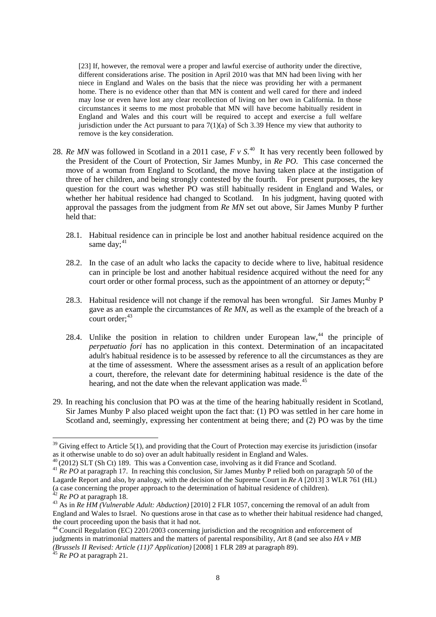[23] If, however, the removal were a proper and lawful exercise of authority under the directive, different considerations arise. The position in April 2010 was that MN had been living with her niece in England and Wales on the basis that the niece was providing her with a permanent home. There is no evidence other than that MN is content and well cared for there and indeed may lose or even have lost any clear recollection of living on her own in California. In those circumstances it seems to me most probable that MN will have become habitually resident in England and Wales and this court will be required to accept and exercise a full welfare jurisdiction under the Act pursuant to para  $7(1)(a)$  of Sch 3.[39](#page-7-0) Hence my view that authority to remove is the key consideration.

- 28. *Re MN* was followed in Scotland in a 2011 case, *F v S*. [40](#page-7-1) It has very recently been followed by the President of the Court of Protection, Sir James Munby, in *Re PO*. This case concerned the move of a woman from England to Scotland, the move having taken place at the instigation of three of her children, and being strongly contested by the fourth. For present purposes, the key question for the court was whether PO was still habitually resident in England and Wales, or whether her habitual residence had changed to Scotland. In his judgment, having quoted with approval the passages from the judgment from *Re MN* set out above, Sir James Munby P further held that:
	- 28.1. Habitual residence can in principle be lost and another habitual residence acquired on the same day; $41$
	- 28.2. In the case of an adult who lacks the capacity to decide where to live, habitual residence can in principle be lost and another habitual residence acquired without the need for any court order or other formal process, such as the appointment of an attorney or deputy;<sup>[42](#page-7-3)</sup>
	- 28.3. Habitual residence will not change if the removal has been wrongful. Sir James Munby P gave as an example the circumstances of *Re MN*, as well as the example of the breach of a  $\text{court order:}^{43}$  $\text{court order:}^{43}$  $\text{court order:}^{43}$
	- 28.4. Unlike the position in relation to children under European law,  $44$  the principle of *perpetuatio fori* has no application in this context. Determination of an incapacitated adult's habitual residence is to be assessed by reference to all the circumstances as they are at the time of assessment. Where the assessment arises as a result of an application before a court, therefore, the relevant date for determining habitual residence is the date of the hearing, and not the date when the relevant application was made.<sup>[45](#page-7-6)</sup>
- 29. In reaching his conclusion that PO was at the time of the hearing habitually resident in Scotland, Sir James Munby P also placed weight upon the fact that: (1) PO was settled in her care home in Scotland and, seemingly, expressing her contentment at being there; and (2) PO was by the time

<span id="page-7-0"></span> $39$  Giving effect to Article 5(1), and providing that the Court of Protection may exercise its jurisdiction (insofar as it otherwise unable to do so) over an adult habitually resident in England and Wales.

<span id="page-7-2"></span><span id="page-7-1"></span><sup>&</sup>lt;sup>40</sup> (2012) SLT (Sh Ct) 189. This was a Convention case, involving as it did France and Scotland.<br><sup>41</sup> Re PO at paragraph 17. In reaching this conclusion, Sir James Munby P relied both on paragraph 50 of the Lagarde Report and also, by analogy, with the decision of the Supreme Court in *Re A* [2013] 3 WLR 761 (HL) (a case concerning the proper approach to the determination of habitual residence of children).<br><sup>42</sup> *Re PO* at paragraph 18.

<span id="page-7-4"></span><span id="page-7-3"></span><sup>42</sup> *Re PO* at paragraph 18. 43 As in *Re HM (Vulnerable Adult: Abduction)* [2010] 2 FLR 1057, concerning the removal of an adult from England and Wales to Israel. No questions arose in that case as to whether their habitual residence had changed,

<span id="page-7-5"></span> $^{44}$  Council Regulation (EC) 2201/2003 concerning jurisdiction and the recognition and enforcement of judgments in matrimonial matters and the matters of parental responsibility, Art 8 (and see also *HA v MB (Brussels II Revised: Article (11)7 Application)* [2008] 1 FLR 289 at paragraph 89).<br><sup>45</sup> *Re PO* at paragraph 21.

<span id="page-7-6"></span>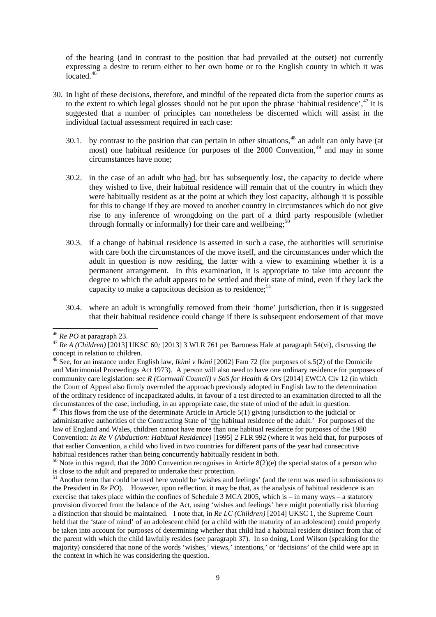of the hearing (and in contrast to the position that had prevailed at the outset) not currently expressing a desire to return either to her own home or to the English county in which it was located. $46$ 

- 30. In light of these decisions, therefore, and mindful of the repeated dicta from the superior courts as to the extent to which legal glosses should not be put upon the phrase 'habitual residence', [47](#page-8-1) it is suggested that a number of principles can nonetheless be discerned which will assist in the individual factual assessment required in each case:
	- 30.1. by contrast to the position that can pertain in other situations,<sup>[48](#page-8-2)</sup> an adult can only have (at most) one habitual residence for purposes of the  $2000$  Convention.<sup>[49](#page-8-3)</sup> and may in some circumstances have none;
	- 30.2. in the case of an adult who had, but has subsequently lost, the capacity to decide where they wished to live, their habitual residence will remain that of the country in which they were habitually resident as at the point at which they lost capacity, although it is possible for this to change if they are moved to another country in circumstances which do not give rise to any inference of wrongdoing on the part of a third party responsible (whether through formally or informally) for their care and wellbeing;<sup>[50](#page-8-4)</sup>
	- 30.3. if a change of habitual residence is asserted in such a case, the authorities will scrutinise with care both the circumstances of the move itself, and the circumstances under which the adult in question is now residing, the latter with a view to examining whether it is a permanent arrangement. In this examination, it is appropriate to take into account the degree to which the adult appears to be settled and their state of mind, even if they lack the capacity to make a capacitous decision as to residence;<sup>[51](#page-8-5)</sup>
	- 30.4. where an adult is wrongfully removed from their 'home' jurisdiction, then it is suggested that their habitual residence could change if there is subsequent endorsement of that move

<span id="page-8-3"></span> $49$  This flows from the use of the determinate Article in Article 5(1) giving jurisdiction to the judicial or administrative authorities of the Contracting State of 'the habitual residence of the adult.' For purposes of the law of England and Wales, children cannot have more than one habitual residence for purposes of the 1980 Convention: *In Re V (Abduction: Habitual Residence)* [1995] 2 FLR 992 (where it was held that, for purposes of that earlier Convention, a child who lived in two countries for different parts of the year had consecutive habitual residences rather than being concurrently habitually resident in both.

<span id="page-8-4"></span><sup>50</sup> Note in this regard, that the 2000 Convention recognises in Article 8(2)(e) the special status of a person who is close to the adult and prepared to undertake their protection.

<span id="page-8-5"></span> $^{51}$  Another term that could be used here would be 'wishes and feelings' (and the term was used in submissions to the President in *Re PO*). However, upon reflection, it may be that, as the analysis of habitual residence is an exercise that takes place within the confines of Schedule 3 MCA 2005, which is – in many ways – a statutory provision divorced from the balance of the Act, using 'wishes and feelings' here might potentially risk blurring a distinction that should be maintained. I note that, in *Re LC (Children)* [2014] UKSC 1, the Supreme Court held that the 'state of mind' of an adolescent child (or a child with the maturity of an adolescent) could properly be taken into account for purposes of determining whether that child had a habitual resident distinct from that of the parent with which the child lawfully resides (see paragraph 37). In so doing, Lord Wilson (speaking for the majority) considered that none of the words 'wishes,' views,' intentions,' or 'decisions' of the child were apt in the context in which he was considering the question.

<span id="page-8-1"></span><span id="page-8-0"></span><sup>46</sup> *Re PO* at paragraph 23. 47 *Re A (Children)* [2013] UKSC 60*;* [2013] 3 WLR 761 per Baroness Hale at paragraph 54(vi), discussing the concept in relation to children.

<span id="page-8-2"></span><sup>&</sup>lt;sup>48</sup> See, for an instance under English law, *Ikimi v Ikimi* [2002] Fam 72 (for purposes of s.5(2) of the Domicile and Matrimonial Proceedings Act 1973). A person will also need to have one ordinary residence for purposes of community care legislation: see *R (Cornwall Council) v SoS for Health & Ors* [2014] EWCA Civ 12 (in which the Court of Appeal also firmly overruled the approach previously adopted in English law to the determination of the ordinary residence of incapacitated adults, in favour of a test directed to an examination directed to all the circumstances of the case, including, in an appropriate case, the state of mind of the adult in question.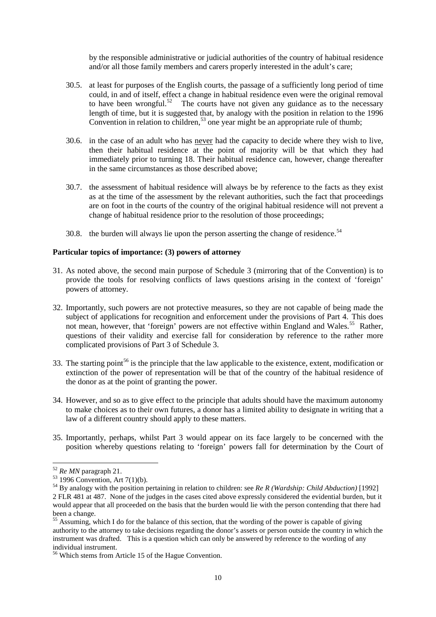by the responsible administrative or judicial authorities of the country of habitual residence and/or all those family members and carers properly interested in the adult's care;

- 30.5. at least for purposes of the English courts, the passage of a sufficiently long period of time could, in and of itself, effect a change in habitual residence even were the original removal to have been wrongful. $52$  The courts have not given any guidance as to the necessary length of time, but it is suggested that, by analogy with the position in relation to the 1996 Convention in relation to children,  $53$  one year might be an appropriate rule of thumb;
- 30.6. in the case of an adult who has never had the capacity to decide where they wish to live, then their habitual residence at the point of majority will be that which they had immediately prior to turning 18. Their habitual residence can, however, change thereafter in the same circumstances as those described above;
- 30.7. the assessment of habitual residence will always be by reference to the facts as they exist as at the time of the assessment by the relevant authorities, such the fact that proceedings are on foot in the courts of the country of the original habitual residence will not prevent a change of habitual residence prior to the resolution of those proceedings;
- 30.8. the burden will always lie upon the person asserting the change of residence.<sup>54</sup>

## **Particular topics of importance: (3) powers of attorney**

- 31. As noted above, the second main purpose of Schedule 3 (mirroring that of the Convention) is to provide the tools for resolving conflicts of laws questions arising in the context of 'foreign' powers of attorney.
- 32. Importantly, such powers are not protective measures, so they are not capable of being made the subject of applications for recognition and enforcement under the provisions of Part 4. This does not mean, however, that 'foreign' powers are not effective within England and Wales.<sup>[55](#page-9-3)</sup> Rather, questions of their validity and exercise fall for consideration by reference to the rather more complicated provisions of Part 3 of Schedule 3.
- 33. The starting point<sup>[56](#page-9-4)</sup> is the principle that the law applicable to the existence, extent, modification or extinction of the power of representation will be that of the country of the habitual residence of the donor as at the point of granting the power.
- 34. However, and so as to give effect to the principle that adults should have the maximum autonomy to make choices as to their own futures, a donor has a limited ability to designate in writing that a law of a different country should apply to these matters.
- 35. Importantly, perhaps, whilst Part 3 would appear on its face largely to be concerned with the position whereby questions relating to 'foreign' powers fall for determination by the Court of

<span id="page-9-2"></span><span id="page-9-1"></span>

<span id="page-9-0"></span><sup>&</sup>lt;sup>52</sup> *Re MN* paragraph 21.<br><sup>53</sup> 1996 Convention, Art 7(1)(b).<br><sup>54</sup> By analogy with the position pertaining in relation to children: see *Re R (Wardship: Child Abduction)* [1992] 2 FLR 481 at 487. None of the judges in the cases cited above expressly considered the evidential burden, but it would appear that all proceeded on the basis that the burden would lie with the person contending that there had been a change.

<span id="page-9-3"></span><sup>&</sup>lt;sup>55</sup> Assuming, which I do for the balance of this section, that the wording of the power is capable of giving authority to the attorney to take decisions regarding the donor's assets or person outside the country in which the instrument was drafted. This is a question which can only be answered by reference to the wording of any individual instrument.

<span id="page-9-4"></span><sup>56</sup> Which stems from Article 15 of the Hague Convention.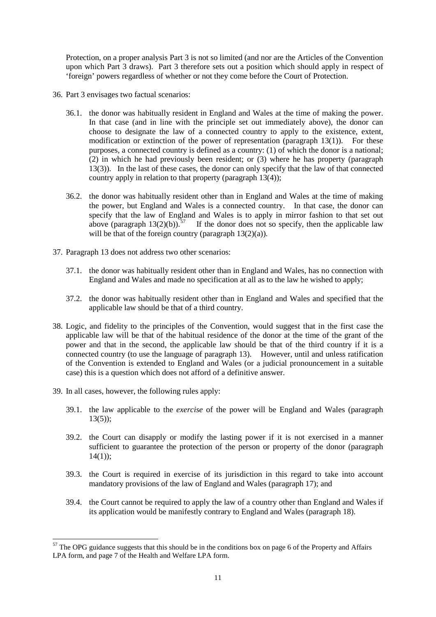Protection, on a proper analysis Part 3 is not so limited (and nor are the Articles of the Convention upon which Part 3 draws). Part 3 therefore sets out a position which should apply in respect of 'foreign' powers regardless of whether or not they come before the Court of Protection.

- 36. Part 3 envisages two factual scenarios:
	- 36.1. the donor was habitually resident in England and Wales at the time of making the power. In that case (and in line with the principle set out immediately above), the donor can choose to designate the law of a connected country to apply to the existence, extent, modification or extinction of the power of representation (paragraph 13(1)). For these purposes, a connected country is defined as a country: (1) of which the donor is a national;  $(2)$  in which he had previously been resident; or  $(3)$  where he has property (paragraph 13(3)). In the last of these cases, the donor can only specify that the law of that connected country apply in relation to that property (paragraph 13(4));
	- 36.2. the donor was habitually resident other than in England and Wales at the time of making the power, but England and Wales is a connected country. In that case, the donor can specify that the law of England and Wales is to apply in mirror fashion to that set out above (paragraph  $13(2)(b)$ ).<sup>[57](#page-10-0)</sup> If the donor does not so specify, then the applicable law will be that of the foreign country (paragraph  $13(2)(a)$ ).
- 37. Paragraph 13 does not address two other scenarios:
	- 37.1. the donor was habitually resident other than in England and Wales, has no connection with England and Wales and made no specification at all as to the law he wished to apply;
	- 37.2. the donor was habitually resident other than in England and Wales and specified that the applicable law should be that of a third country.
- 38. Logic, and fidelity to the principles of the Convention, would suggest that in the first case the applicable law will be that of the habitual residence of the donor at the time of the grant of the power and that in the second, the applicable law should be that of the third country if it is a connected country (to use the language of paragraph 13). However, until and unless ratification of the Convention is extended to England and Wales (or a judicial pronouncement in a suitable case) this is a question which does not afford of a definitive answer.
- 39. In all cases, however, the following rules apply:
	- 39.1. the law applicable to the *exercise* of the power will be England and Wales (paragraph  $13(5)$ :
	- 39.2. the Court can disapply or modify the lasting power if it is not exercised in a manner sufficient to guarantee the protection of the person or property of the donor (paragraph  $14(1)$ :
	- 39.3. the Court is required in exercise of its jurisdiction in this regard to take into account mandatory provisions of the law of England and Wales (paragraph 17); and
	- 39.4. the Court cannot be required to apply the law of a country other than England and Wales if its application would be manifestly contrary to England and Wales (paragraph 18).

<span id="page-10-0"></span><sup>&</sup>lt;sup>57</sup> The OPG guidance suggests that this should be in the conditions box on page 6 of the Property and Affairs LPA form, and page 7 of the Health and Welfare LPA form.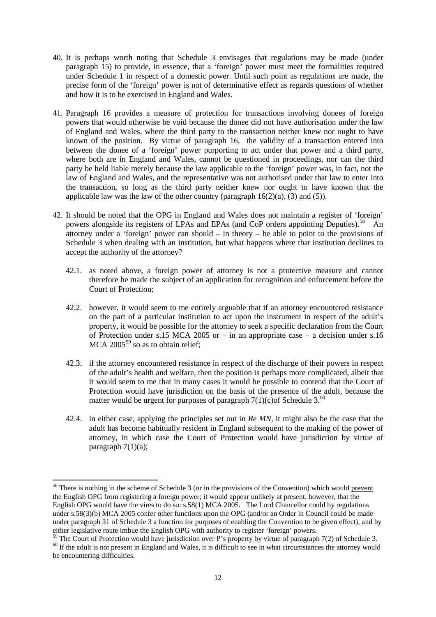- 40. It is perhaps worth noting that Schedule 3 envisages that regulations may be made (under paragraph 15) to provide, in essence, that a 'foreign' power must meet the formalities required under Schedule 1 in respect of a domestic power. Until such point as regulations are made, the precise form of the 'foreign' power is not of determinative effect as regards questions of whether and how it is to be exercised in England and Wales.
- 41. Paragraph 16 provides a measure of protection for transactions involving donees of foreign powers that would otherwise be void because the donee did not have authorisation under the law of England and Wales, where the third party to the transaction neither knew nor ought to have known of the position. By virtue of paragraph 16, the validity of a transaction entered into between the donee of a 'foreign' power purporting to act under that power and a third party, where both are in England and Wales, cannot be questioned in proceedings, nor can the third party be held liable merely because the law applicable to the 'foreign' power was, in fact, not the law of England and Wales, and the representative was not authorised under that law to enter into the transaction, so long as the third party neither knew nor ought to have known that the applicable law was the law of the other country (paragraph  $16(2)(a)$ ,  $(3)$  and  $(5)$ ).
- 42. It should be noted that the OPG in England and Wales does not maintain a register of 'foreign' powers alongside its registers of LPAs and EPAs (and CoP orders appointing Deputies).<sup>[58](#page-11-0)</sup> An attorney under a 'foreign' power can should – in theory – be able to point to the provisions of Schedule 3 when dealing with an institution, but what happens where that institution declines to accept the authority of the attorney?
	- 42.1. as noted above, a foreign power of attorney is not a protective measure and cannot therefore be made the subject of an application for recognition and enforcement before the Court of Protection;
	- 42.2. however, it would seem to me entirely arguable that if an attorney encountered resistance on the part of a particular institution to act upon the instrument in respect of the adult's property, it would be possible for the attorney to seek a specific declaration from the Court of Protection under s.15 MCA 2005 or – in an appropriate case – a decision under s.16  $MCA$  2005<sup>[59](#page-11-1)</sup> so as to obtain relief:
	- 42.3. if the attorney encountered resistance in respect of the discharge of their powers in respect of the adult's health and welfare, then the position is perhaps more complicated, albeit that it would seem to me that in many cases it would be possible to contend that the Court of Protection would have jurisdiction on the basis of the presence of the adult, because the matter would be urgent for purposes of paragraph  $7(1)(c)$  of Schedule 3.<sup>[60](#page-11-2)</sup>
	- 42.4. in either case, applying the principles set out in *Re MN*, it might also be the case that the adult has become habitually resident in England subsequent to the making of the power of attorney, in which case the Court of Protection would have jurisdiction by virtue of paragraph  $7(1)(a)$ ;

<span id="page-11-0"></span><sup>&</sup>lt;sup>58</sup> There is nothing in the scheme of Schedule 3 (or in the provisions of the Convention) which would prevent the English OPG from registering a foreign power; it would appear unlikely at present, however, that the English OPG would have the vires to do so: s.58(1) MCA 2005. The Lord Chancellor could by regulations under s.58(3)(b) MCA 2005 confer other functions upon the OPG (and/or an Order in Council could be made under paragraph 31 of Schedule 3 a function for purposes of enabling the Convention to be given effect), and by either legislative route imbue the English OPG with authority to register 'foreign' powers.<br><sup>59</sup> The Court of Protection would have jurisdiction over P's property by virtue of paragraph 7(2) of Schedule 3.

<span id="page-11-2"></span><span id="page-11-1"></span> $60$  If the adult is not present in England and Wales, it is difficult to see in what circumstances the attorney would be encountering difficulties.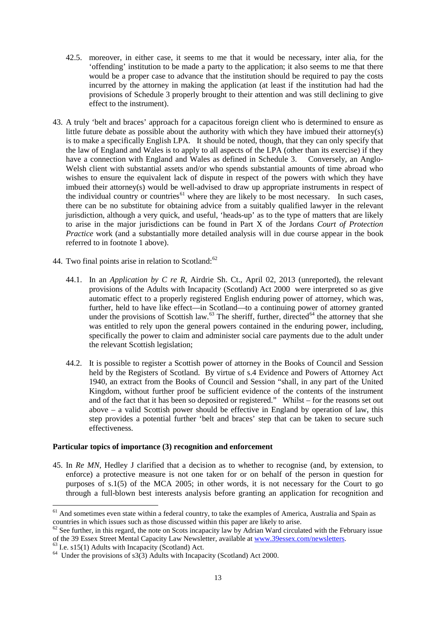- 42.5. moreover, in either case, it seems to me that it would be necessary, inter alia, for the 'offending' institution to be made a party to the application; it also seems to me that there would be a proper case to advance that the institution should be required to pay the costs incurred by the attorney in making the application (at least if the institution had had the provisions of Schedule 3 properly brought to their attention and was still declining to give effect to the instrument).
- 43. A truly 'belt and braces' approach for a capacitous foreign client who is determined to ensure as little future debate as possible about the authority with which they have imbued their attorney(s) is to make a specifically English LPA. It should be noted, though, that they can only specify that the law of England and Wales is to apply to all aspects of the LPA (other than its exercise) if they have a connection with England and Wales as defined in Schedule 3. Conversely, an Anglo-Welsh client with substantial assets and/or who spends substantial amounts of time abroad who wishes to ensure the equivalent lack of dispute in respect of the powers with which they have imbued their attorney(s) would be well-advised to draw up appropriate instruments in respect of the individual country or countries<sup> $61$ </sup> where they are likely to be most necessary. In such cases, there can be no substitute for obtaining advice from a suitably qualified lawyer in the relevant jurisdiction, although a very quick, and useful, 'heads-up' as to the type of matters that are likely to arise in the major jurisdictions can be found in Part X of the Jordans *Court of Protection Practice* work (and a substantially more detailed analysis will in due course appear in the book referred to in footnote 1 above).
- 44. Two final points arise in relation to Scotland: $62$ 
	- 44.1. In an *Application by C re R*, Airdrie Sh. Ct., April 02, 2013 (unreported), the relevant provisions of the Adults with Incapacity (Scotland) Act 2000 were interpreted so as give automatic effect to a properly registered English enduring power of attorney, which was, further, held to have like effect—in Scotland—to a continuing power of attorney granted under the provisions of Scottish law.<sup>[63](#page-12-2)</sup> The sheriff, further, directed<sup>[64](#page-12-3)</sup> the attorney that she was entitled to rely upon the general powers contained in the enduring power, including, specifically the power to claim and administer social care payments due to the adult under the relevant Scottish legislation;
	- 44.2. It is possible to register a Scottish power of attorney in the Books of Council and Session held by the Registers of Scotland. By virtue of s.4 Evidence and Powers of Attorney Act 1940, an extract from the Books of Council and Session "shall, in any part of the United Kingdom, without further proof be sufficient evidence of the contents of the instrument and of the fact that it has been so deposited or registered." Whilst – for the reasons set out above  $-$  a valid Scottish power should be effective in England by operation of law, this step provides a potential further 'belt and braces' step that can be taken to secure such effectiveness.

## **Particular topics of importance (3) recognition and enforcement**

45. In *Re MN*, Hedley J clarified that a decision as to whether to recognise (and, by extension, to enforce) a protective measure is not one taken for or on behalf of the person in question for purposes of s.1(5) of the MCA 2005; in other words, it is not necessary for the Court to go through a full-blown best interests analysis before granting an application for recognition and

<span id="page-12-0"></span><sup>&</sup>lt;sup>61</sup> And sometimes even state within a federal country, to take the examples of America, Australia and Spain as countries in which issues such as those discussed within this paper are likely to arise.

<span id="page-12-1"></span> $62$  See further, in this regard, the note on Scots incapacity law by Adrian Ward circulated with the February issue of the 39 Essex Street Mental Capacity Law Newsletter, available at [www.39essex.com/newsletters.](http://www.39essex.com/newsletters)<br>
<sup>63</sup> I.e. s15(1) Adults with Incapacity (Scotland) Act.<br>
<sup>64</sup> Under the provisions of s3(3) Adults with Incapacity (Scotland

<span id="page-12-2"></span>

<span id="page-12-3"></span>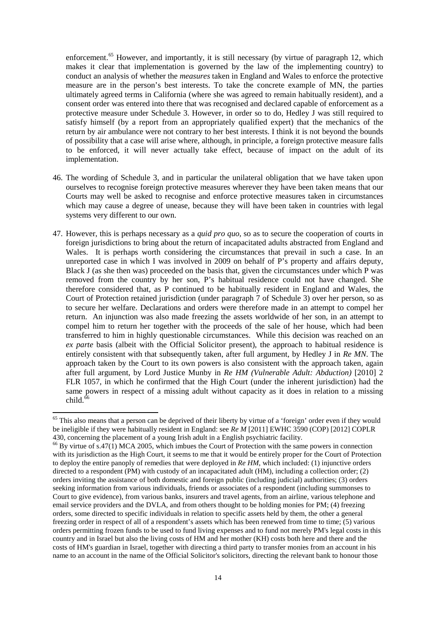enforcement.<sup>[65](#page-13-0)</sup> However, and importantly, it is still necessary (by virtue of paragraph 12, which makes it clear that implementation is governed by the law of the implementing country) to conduct an analysis of whether the *measures* taken in England and Wales to enforce the protective measure are in the person's best interests. To take the concrete example of MN, the parties ultimately agreed terms in California (where she was agreed to remain habitually resident), and a consent order was entered into there that was recognised and declared capable of enforcement as a protective measure under Schedule 3. However, in order so to do, Hedley J was still required to satisfy himself (by a report from an appropriately qualified expert) that the mechanics of the return by air ambulance were not contrary to her best interests. I think it is not beyond the bounds of possibility that a case will arise where, although, in principle, a foreign protective measure falls to be enforced, it will never actually take effect, because of impact on the adult of its implementation.

- 46. The wording of Schedule 3, and in particular the unilateral obligation that we have taken upon ourselves to recognise foreign protective measures wherever they have been taken means that our Courts may well be asked to recognise and enforce protective measures taken in circumstances which may cause a degree of unease, because they will have been taken in countries with legal systems very different to our own.
- 47. However, this is perhaps necessary as a *quid pro quo*, so as to secure the cooperation of courts in foreign jurisdictions to bring about the return of incapacitated adults abstracted from England and Wales. It is perhaps worth considering the circumstances that prevail in such a case. In an unreported case in which I was involved in 2009 on behalf of P's property and affairs deputy, Black J (as she then was) proceeded on the basis that, given the circumstances under which P was removed from the country by her son, P's habitual residence could not have changed. She therefore considered that, as P continued to be habitually resident in England and Wales, the Court of Protection retained jurisdiction (under paragraph 7 of Schedule 3) over her person, so as to secure her welfare. Declarations and orders were therefore made in an attempt to compel her return. An injunction was also made freezing the assets worldwide of her son, in an attempt to compel him to return her together with the proceeds of the sale of her house, which had been transferred to him in highly questionable circumstances. While this decision was reached on an *ex parte* basis (albeit with the Official Solicitor present), the approach to habitual residence is entirely consistent with that subsequently taken, after full argument, by Hedley J in *Re MN*. The approach taken by the Court to its own powers is also consistent with the approach taken, again after full argument, by Lord Justice Munby in *Re HM (Vulnerable Adult: Abduction)* [2010] 2 FLR 1057, in which he confirmed that the High Court (under the inherent jurisdiction) had the same powers in respect of a missing adult without capacity as it does in relation to a missing child. $66$

<span id="page-13-0"></span><sup>&</sup>lt;sup>65</sup> This also means that a person can be deprived of their liberty by virtue of a 'foreign' order even if they would be ineligible if they were habitually resident in England: see *Re M* [2011] EWHC 3590 (COP) [2012] COPLR 430, concerning the placement of a young Irish adult in a English psychiatric facility.

<span id="page-13-1"></span> $^{66}$  By virtue of s.47(1) MCA 2005, which imbues the Court of Protection with the same powers in connection with its jurisdiction as the High Court, it seems to me that it would be entirely proper for the Court of Protection to deploy the entire panoply of remedies that were deployed in *Re HM*, which included: (1) injunctive orders directed to a respondent (PM) with custody of an incapacitated adult (HM), including a collection order; (2) orders inviting the assistance of both domestic and foreign public (including judicial) authorities; (3) orders seeking information from various individuals, friends or associates of a respondent (including summonses to Court to give evidence), from various banks, insurers and travel agents, from an airline, various telephone and email service providers and the DVLA, and from others thought to be holding monies for PM; (4) freezing orders, some directed to specific individuals in relation to specific assets held by them, the other a general freezing order in respect of all of a respondent's assets which has been renewed from time to time; (5) various orders permitting frozen funds to be used to fund living expenses and to fund not merely PM's legal costs in this country and in Israel but also the living costs of HM and her mother (KH) costs both here and there and the costs of HM's guardian in Israel, together with directing a third party to transfer monies from an account in his name to an account in the name of the Official Solicitor's solicitors, directing the relevant bank to honour those